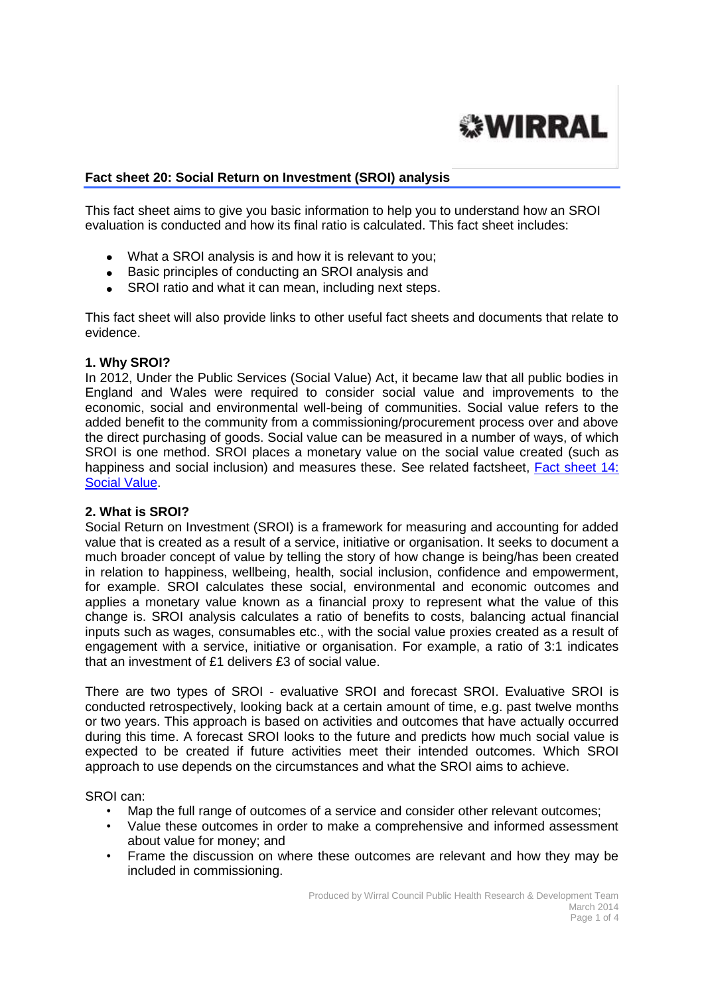

# **Fact sheet 20: Social Return on Investment (SROI) analysis**

This fact sheet aims to give you basic information to help you to understand how an SROI evaluation is conducted and how its final ratio is calculated. This fact sheet includes:

- What a SROI analysis is and how it is relevant to you;
- Basic principles of conducting an SROI analysis and
- SROI ratio and what it can mean, including next steps.

This fact sheet will also provide links to other useful fact sheets and documents that relate to evidence.

#### **1. Why SROI?**

In 2012, Under the Public Services (Social Value) Act, it became law that all public bodies in England and Wales were required to consider social value and improvements to the economic, social and environmental well-being of communities. Social value refers to the added benefit to the community from a commissioning/procurement process over and above the direct purchasing of goods. Social value can be measured in a number of ways, of which SROI is one method. SROI places a monetary value on the social value created (such as happiness and social inclusion) and measures these. See related factsheet, [Fact sheet 14:](http://info.wirral.nhs.uk/intelligencehub/howtofact-sheetsonevidence&research.html)  [Social Value.](http://info.wirral.nhs.uk/intelligencehub/howtofact-sheetsonevidence&research.html)

# **2. What is SROI?**

Social Return on Investment (SROI) is a framework for measuring and accounting for added value that is created as a result of a service, initiative or organisation. It seeks to document a much broader concept of value by telling the story of how change is being/has been created in relation to happiness, wellbeing, health, social inclusion, confidence and empowerment, for example. SROI calculates these social, environmental and economic outcomes and applies a monetary value known as a financial proxy to represent what the value of this change is. SROI analysis calculates a ratio of benefits to costs, balancing actual financial inputs such as wages, consumables etc., with the social value proxies created as a result of engagement with a service, initiative or organisation. For example, a ratio of 3:1 indicates that an investment of £1 delivers £3 of social value.

There are two types of SROI - evaluative SROI and forecast SROI. Evaluative SROI is conducted retrospectively, looking back at a certain amount of time, e.g. past twelve months or two years. This approach is based on activities and outcomes that have actually occurred during this time. A forecast SROI looks to the future and predicts how much social value is expected to be created if future activities meet their intended outcomes. Which SROI approach to use depends on the circumstances and what the SROI aims to achieve.

SROI can:

- Map the full range of outcomes of a service and consider other relevant outcomes;
- Value these outcomes in order to make a comprehensive and informed assessment about value for money; and
- Frame the discussion on where these outcomes are relevant and how they may be included in commissioning.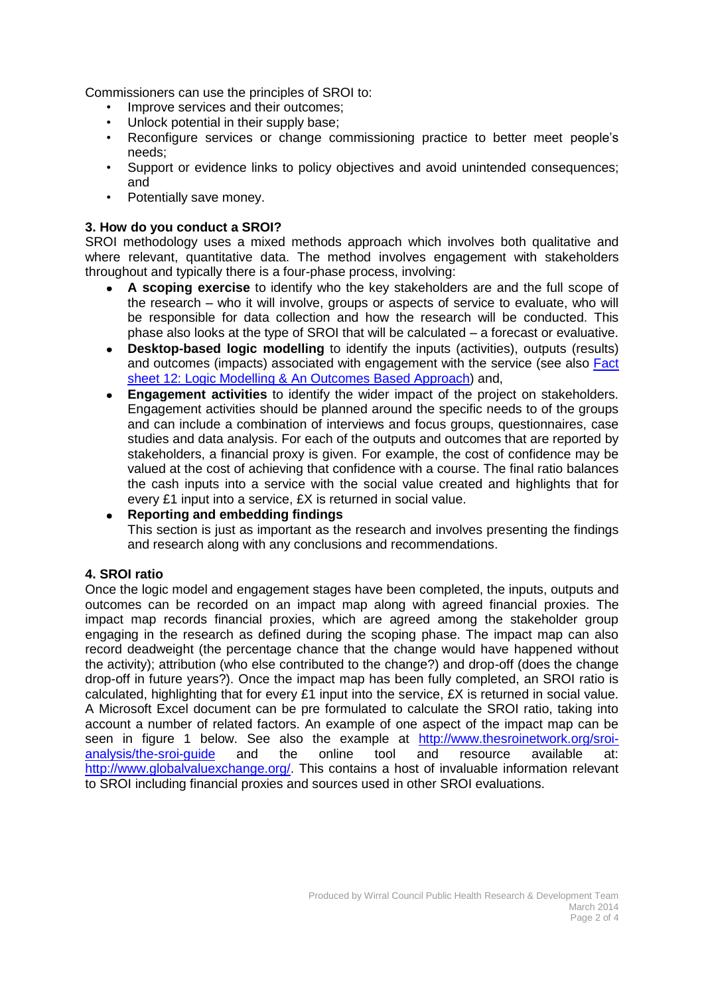Commissioners can use the principles of SROI to:

- Improve services and their outcomes;
- Unlock potential in their supply base;
- Reconfigure services or change commissioning practice to better meet people's needs;
- Support or evidence links to policy objectives and avoid unintended consequences; and
- Potentially save money.

# **3. How do you conduct a SROI?**

SROI methodology uses a mixed methods approach which involves both qualitative and where relevant, quantitative data. The method involves engagement with stakeholders throughout and typically there is a four-phase process, involving:

- **A scoping exercise** to identify who the key stakeholders are and the full scope of  $\bullet$ the research – who it will involve, groups or aspects of service to evaluate, who will be responsible for data collection and how the research will be conducted. This phase also looks at the type of SROI that will be calculated – a forecast or evaluative.
- **Desktop-based logic modelling** to identify the inputs (activities), outputs (results)  $\bullet$ and outcomes (impacts) associated with engagement with the service (see also [Fact](http://info.wirral.nhs.uk/intelligencehub/howtofact-sheetsonevidence&research.html) [sheet 12: Logic Modelling & An Outcomes Based Approach\)](http://info.wirral.nhs.uk/intelligencehub/howtofact-sheetsonevidence&research.html) and,
- **Engagement activities** to identify the wider impact of the project on stakeholders.  $\bullet$ Engagement activities should be planned around the specific needs to of the groups and can include a combination of interviews and focus groups, questionnaires, case studies and data analysis. For each of the outputs and outcomes that are reported by stakeholders, a financial proxy is given. For example, the cost of confidence may be valued at the cost of achieving that confidence with a course. The final ratio balances the cash inputs into a service with the social value created and highlights that for every £1 input into a service, £X is returned in social value.

#### **Reporting and embedding findings**

This section is just as important as the research and involves presenting the findings and research along with any conclusions and recommendations.

# **4. SROI ratio**

Once the logic model and engagement stages have been completed, the inputs, outputs and outcomes can be recorded on an impact map along with agreed financial proxies. The impact map records financial proxies, which are agreed among the stakeholder group engaging in the research as defined during the scoping phase. The impact map can also record deadweight (the percentage chance that the change would have happened without the activity); attribution (who else contributed to the change?) and drop-off (does the change drop-off in future years?). Once the impact map has been fully completed, an SROI ratio is calculated, highlighting that for every £1 input into the service, £X is returned in social value. A Microsoft Excel document can be pre formulated to calculate the SROI ratio, taking into account a number of related factors. An example of one aspect of the impact map can be seen in figure 1 below. See also the example at [http://www.thesroinetwork.org/sroi](http://www.thesroinetwork.org/sroi-analysis/the-sroi-guide)[analysis/the-sroi-guide](http://www.thesroinetwork.org/sroi-analysis/the-sroi-guide) and the online tool and resource available at: [http://www.globalvaluexchange.org/.](http://www.globalvaluexchange.org/) This contains a host of invaluable information relevant to SROI including financial proxies and sources used in other SROI evaluations.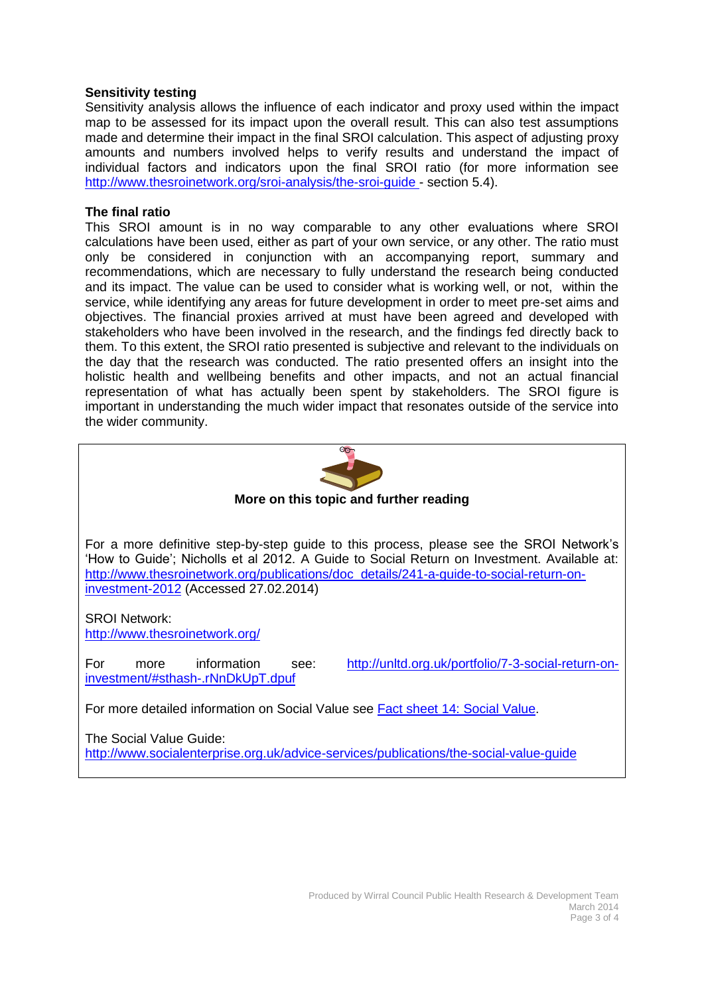# **Sensitivity testing**

Sensitivity analysis allows the influence of each indicator and proxy used within the impact map to be assessed for its impact upon the overall result. This can also test assumptions made and determine their impact in the final SROI calculation. This aspect of adjusting proxy amounts and numbers involved helps to verify results and understand the impact of individual factors and indicators upon the final SROI ratio (for more information see <http://www.thesroinetwork.org/sroi-analysis/the-sroi-guide> - section 5.4).

# **The final ratio**

This SROI amount is in no way comparable to any other evaluations where SROI calculations have been used, either as part of your own service, or any other. The ratio must only be considered in conjunction with an accompanying report, summary and recommendations, which are necessary to fully understand the research being conducted and its impact. The value can be used to consider what is working well, or not, within the service, while identifying any areas for future development in order to meet pre-set aims and objectives. The financial proxies arrived at must have been agreed and developed with stakeholders who have been involved in the research, and the findings fed directly back to them. To this extent, the SROI ratio presented is subjective and relevant to the individuals on the day that the research was conducted. The ratio presented offers an insight into the holistic health and wellbeing benefits and other impacts, and not an actual financial representation of what has actually been spent by stakeholders. The SROI figure is important in understanding the much wider impact that resonates outside of the service into the wider community.



<http://www.socialenterprise.org.uk/advice-services/publications/the-social-value-guide>